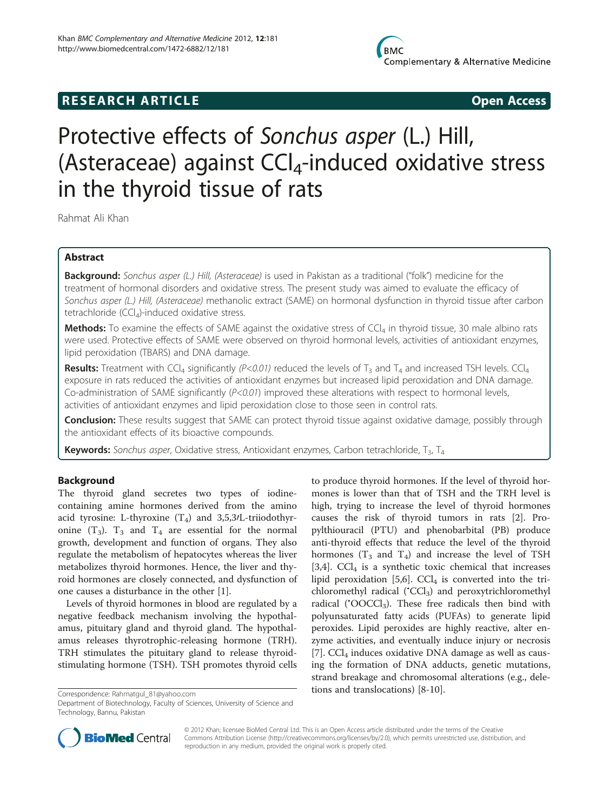# **RESEARCH ARTICLE Example 2014 CONSIDERING CONSIDERING CONSIDERING CONSIDERING CONSIDERING CONSIDERING CONSIDERING CONSIDERING CONSIDERING CONSIDERING CONSIDERING CONSIDERING CONSIDERING CONSIDERING CONSIDERING CONSIDE**

# Protective effects of Sonchus asper (L.) Hill, (Asteraceae) against  $\text{Cl}_4$ -induced oxidative stress in the thyroid tissue of rats

Rahmat Ali Khan

# Abstract

Background: Sonchus asper (L.) Hill, (Asteraceae) is used in Pakistan as a traditional ("folk") medicine for the treatment of hormonal disorders and oxidative stress. The present study was aimed to evaluate the efficacy of Sonchus asper (L.) Hill, (Asteraceae) methanolic extract (SAME) on hormonal dysfunction in thyroid tissue after carbon tetrachloride  $(CCl<sub>4</sub>)$ -induced oxidative stress.

**Methods:** To examine the effects of SAME against the oxidative stress of CCl<sub>4</sub> in thyroid tissue, 30 male albino rats were used. Protective effects of SAME were observed on thyroid hormonal levels, activities of antioxidant enzymes, lipid peroxidation (TBARS) and DNA damage.

Results: Treatment with CCl<sub>4</sub> significantly (P<0.01) reduced the levels of T<sub>3</sub> and T<sub>4</sub> and increased TSH levels. CCl<sub>4</sub> exposure in rats reduced the activities of antioxidant enzymes but increased lipid peroxidation and DNA damage. Co-administration of SAME significantly  $(P<sub>0.01</sub>)$  improved these alterations with respect to hormonal levels, activities of antioxidant enzymes and lipid peroxidation close to those seen in control rats.

Conclusion: These results suggest that SAME can protect thyroid tissue against oxidative damage, possibly through the antioxidant effects of its bioactive compounds.

**Keywords:** Sonchus asper, Oxidative stress, Antioxidant enzymes, Carbon tetrachloride,  $T_3$ ,  $T_4$ 

#### Background

The thyroid gland secretes two types of iodinecontaining amine hormones derived from the amino acid tyrosine: L-thyroxine  $(T_4)$  and 3,5,3/L-triiodothyronine  $(T_3)$ .  $T_3$  and  $T_4$  are essential for the normal growth, development and function of organs. They also regulate the metabolism of hepatocytes whereas the liver metabolizes thyroid hormones. Hence, the liver and thyroid hormones are closely connected, and dysfunction of one causes a disturbance in the other [[1\]](#page-6-0).

Levels of thyroid hormones in blood are regulated by a negative feedback mechanism involving the hypothalamus, pituitary gland and thyroid gland. The hypothalamus releases thyrotrophic-releasing hormone (TRH). TRH stimulates the pituitary gland to release thyroidstimulating hormone (TSH). TSH promotes thyroid cells

to produce thyroid hormones. If the level of thyroid hormones is lower than that of TSH and the TRH level is high, trying to increase the level of thyroid hormones causes the risk of thyroid tumors in rats [[2\]](#page-6-0). Propylthiouracil (PTU) and phenobarbital (PB) produce anti-thyroid effects that reduce the level of the thyroid hormones ( $T_3$  and  $T_4$ ) and increase the level of TSH [[3,4\]](#page-6-0).  $CCl<sub>4</sub>$  is a synthetic toxic chemical that increases lipid peroxidation [\[5](#page-6-0),[6](#page-6-0)].  $\text{CCl}_4$  is converted into the trichloromethyl radical ('CCl<sub>3</sub>) and peroxytrichloromethyl radical ('OOCCl<sub>3</sub>). These free radicals then bind with polyunsaturated fatty acids (PUFAs) to generate lipid peroxides. Lipid peroxides are highly reactive, alter enzyme activities, and eventually induce injury or necrosis [[7\]](#page-6-0).  $\text{CCl}_4$  induces oxidative DNA damage as well as causing the formation of DNA adducts, genetic mutations, strand breakage and chromosomal alterations (e.g., deletions and translocations) [[8-10](#page-6-0)]. Correspondence: [Rahmatgul\\_81@yahoo.com](mailto:Rahmatgul_81@yahoo.com)



© 2012 Khan; licensee BioMed Central Ltd. This is an Open Access article distributed under the terms of the Creative Commons Attribution License [\(http://creativecommons.org/licenses/by/2.0\)](http://creativecommons.org/licenses/by/2.0), which permits unrestricted use, distribution, and reproduction in any medium, provided the original work is properly cited.

Department of Biotechnology, Faculty of Sciences, University of Science and Technology, Bannu, Pakistan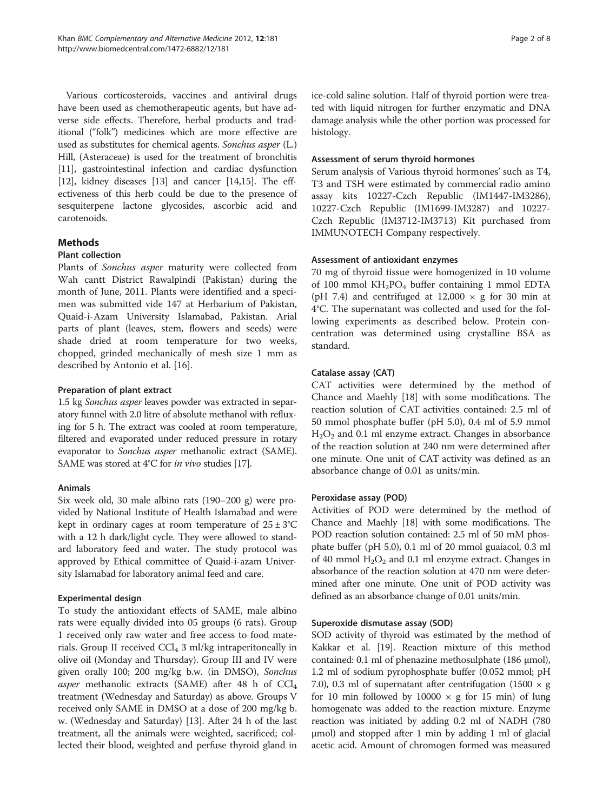Various corticosteroids, vaccines and antiviral drugs have been used as chemotherapeutic agents, but have adverse side effects. Therefore, herbal products and traditional ("folk") medicines which are more effective are used as substitutes for chemical agents. Sonchus asper (L.) Hill, (Asteraceae) is used for the treatment of bronchitis [[11](#page-6-0)], gastrointestinal infection and cardiac dysfunction [[12](#page-6-0)], kidney diseases [[13](#page-6-0)] and cancer [\[14,15](#page-6-0)]. The effectiveness of this herb could be due to the presence of sesquiterpene lactone glycosides, ascorbic acid and carotenoids.

# Methods

#### Plant collection

Plants of Sonchus asper maturity were collected from Wah cantt District Rawalpindi (Pakistan) during the month of June, 2011. Plants were identified and a specimen was submitted vide 147 at Herbarium of Pakistan, Quaid-i-Azam University Islamabad, Pakistan. Arial parts of plant (leaves, stem, flowers and seeds) were shade dried at room temperature for two weeks, chopped, grinded mechanically of mesh size 1 mm as described by Antonio et al. [\[16](#page-6-0)].

#### Preparation of plant extract

1.5 kg Sonchus asper leaves powder was extracted in separatory funnel with 2.0 litre of absolute methanol with refluxing for 5 h. The extract was cooled at room temperature, filtered and evaporated under reduced pressure in rotary evaporator to Sonchus asper methanolic extract (SAME). SAME was stored at 4°C for in vivo studies [\[17](#page-6-0)].

#### Animals

Six week old, 30 male albino rats (190–200 g) were provided by National Institute of Health Islamabad and were kept in ordinary cages at room temperature of  $25 \pm 3^{\circ}$ C with a 12 h dark/light cycle. They were allowed to standard laboratory feed and water. The study protocol was approved by Ethical committee of Quaid-i-azam University Islamabad for laboratory animal feed and care.

#### Experimental design

To study the antioxidant effects of SAME, male albino rats were equally divided into 05 groups (6 rats). Group 1 received only raw water and free access to food materials. Group II received  $\text{CCl}_4$  3 ml/kg intraperitoneally in olive oil (Monday and Thursday). Group III and IV were given orally 100; 200 mg/kg b.w. (in DMSO), Sonchus asper methanolic extracts (SAME) after 48 h of  $\text{CCl}_4$ treatment (Wednesday and Saturday) as above. Groups V received only SAME in DMSO at a dose of 200 mg/kg b. w. (Wednesday and Saturday) [[13\]](#page-6-0). After 24 h of the last treatment, all the animals were weighted, sacrificed; collected their blood, weighted and perfuse thyroid gland in ice-cold saline solution. Half of thyroid portion were treated with liquid nitrogen for further enzymatic and DNA damage analysis while the other portion was processed for histology.

#### Assessment of serum thyroid hormones

Serum analysis of Various thyroid hormones' such as T4, T3 and TSH were estimated by commercial radio amino assay kits 10227-Czch Republic (IM1447-IM3286), 10227-Czch Republic (IM1699-IM3287) and 10227- Czch Republic (IM3712-IM3713) Kit purchased from IMMUNOTECH Company respectively.

#### Assessment of antioxidant enzymes

70 mg of thyroid tissue were homogenized in 10 volume of 100 mmol  $KH_2PO_4$  buffer containing 1 mmol EDTA (pH 7.4) and centrifuged at  $12,000 \times g$  for 30 min at 4°C. The supernatant was collected and used for the following experiments as described below. Protein concentration was determined using crystalline BSA as standard.

# Catalase assay (CAT)

CAT activities were determined by the method of Chance and Maehly [\[18\]](#page-6-0) with some modifications. The reaction solution of CAT activities contained: 2.5 ml of 50 mmol phosphate buffer (pH 5.0), 0.4 ml of 5.9 mmol  $H<sub>2</sub>O<sub>2</sub>$  and 0.1 ml enzyme extract. Changes in absorbance of the reaction solution at 240 nm were determined after one minute. One unit of CAT activity was defined as an absorbance change of 0.01 as units/min.

#### Peroxidase assay (POD)

Activities of POD were determined by the method of Chance and Maehly [\[18\]](#page-6-0) with some modifications. The POD reaction solution contained: 2.5 ml of 50 mM phosphate buffer (pH 5.0), 0.1 ml of 20 mmol guaiacol, 0.3 ml of 40 mmol  $H_2O_2$  and 0.1 ml enzyme extract. Changes in absorbance of the reaction solution at 470 nm were determined after one minute. One unit of POD activity was defined as an absorbance change of 0.01 units/min.

#### Superoxide dismutase assay (SOD)

SOD activity of thyroid was estimated by the method of Kakkar et al. [[19](#page-6-0)]. Reaction mixture of this method contained: 0.1 ml of phenazine methosulphate (186 μmol), 1.2 ml of sodium pyrophosphate buffer (0.052 mmol; pH 7.0), 0.3 ml of supernatant after centrifugation (1500  $\times$  g for 10 min followed by  $10000 \times g$  for 15 min) of lung homogenate was added to the reaction mixture. Enzyme reaction was initiated by adding 0.2 ml of NADH (780 μmol) and stopped after 1 min by adding 1 ml of glacial acetic acid. Amount of chromogen formed was measured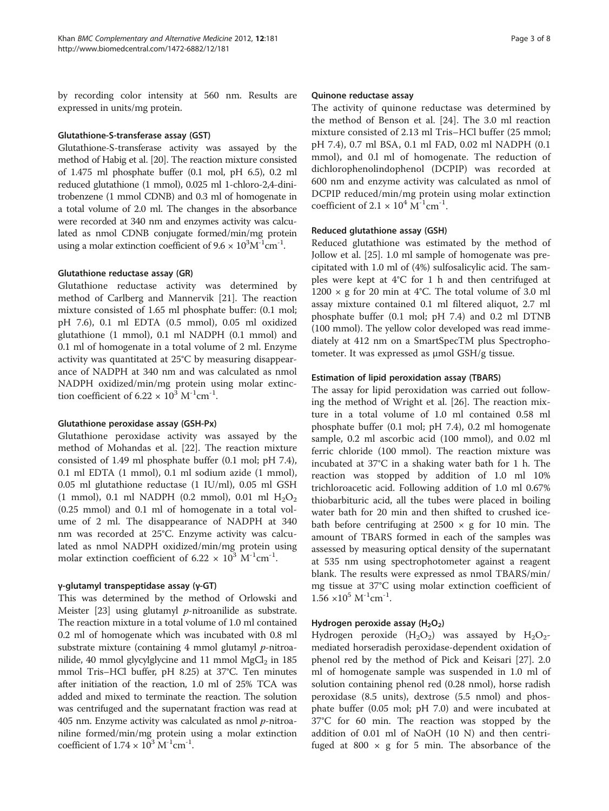by recording color intensity at 560 nm. Results are expressed in units/mg protein.

#### Glutathione-S-transferase assay (GST)

Glutathione-S-transferase activity was assayed by the method of Habig et al. [\[20\]](#page-6-0). The reaction mixture consisted of 1.475 ml phosphate buffer (0.1 mol, pH 6.5), 0.2 ml reduced glutathione (1 mmol), 0.025 ml 1-chloro-2,4-dinitrobenzene (1 mmol CDNB) and 0.3 ml of homogenate in a total volume of 2.0 ml. The changes in the absorbance were recorded at 340 nm and enzymes activity was calculated as nmol CDNB conjugate formed/min/mg protein using a molar extinction coefficient of  $9.6 \times 10^3 \text{M}^{-1} \text{cm}^{-1}$ .

#### Glutathione reductase assay (GR)

Glutathione reductase activity was determined by method of Carlberg and Mannervik [[21\]](#page-6-0). The reaction mixture consisted of 1.65 ml phosphate buffer: (0.1 mol; pH 7.6), 0.1 ml EDTA (0.5 mmol), 0.05 ml oxidized glutathione (1 mmol), 0.1 ml NADPH (0.1 mmol) and 0.1 ml of homogenate in a total volume of 2 ml. Enzyme activity was quantitated at 25°C by measuring disappearance of NADPH at 340 nm and was calculated as nmol NADPH oxidized/min/mg protein using molar extinction coefficient of  $6.22 \times 10^3$  M<sup>-1</sup>cm<sup>-1</sup>.

#### Glutathione peroxidase assay (GSH-Px)

Glutathione peroxidase activity was assayed by the method of Mohandas et al. [[22\]](#page-6-0). The reaction mixture consisted of 1.49 ml phosphate buffer (0.1 mol; pH 7.4), 0.1 ml EDTA (1 mmol), 0.1 ml sodium azide (1 mmol), 0.05 ml glutathione reductase (1 IU/ml), 0.05 ml GSH (1 mmol), 0.1 ml NADPH (0.2 mmol), 0.01 ml  $H_2O_2$ (0.25 mmol) and 0.1 ml of homogenate in a total volume of 2 ml. The disappearance of NADPH at 340 nm was recorded at 25°C. Enzyme activity was calculated as nmol NADPH oxidized/min/mg protein using molar extinction coefficient of  $6.22 \times 10^3$  M<sup>-1</sup>cm<sup>-1</sup>.

#### γ-glutamyl transpeptidase assay (γ-GT)

This was determined by the method of Orlowski and Meister  $[23]$  $[23]$  using glutamyl *p*-nitroanilide as substrate. The reaction mixture in a total volume of 1.0 ml contained 0.2 ml of homogenate which was incubated with 0.8 ml substrate mixture (containing 4 mmol glutamyl p-nitroanilide, 40 mmol glycylglycine and 11 mmol  $MgCl<sub>2</sub>$  in 185 mmol Tris–HCl buffer, pH 8.25) at 37°C. Ten minutes after initiation of the reaction, 1.0 ml of 25% TCA was added and mixed to terminate the reaction. The solution was centrifuged and the supernatant fraction was read at 405 nm. Enzyme activity was calculated as nmol  $p$ -nitroaniline formed/min/mg protein using a molar extinction coefficient of  $1.74 \times 10^3$  M<sup>-1</sup>cm<sup>-1</sup>.

#### Quinone reductase assay

The activity of quinone reductase was determined by the method of Benson et al. [\[24](#page-7-0)]. The 3.0 ml reaction mixture consisted of 2.13 ml Tris–HCl buffer (25 mmol; pH 7.4), 0.7 ml BSA, 0.1 ml FAD, 0.02 ml NADPH (0.1 mmol), and 0.l ml of homogenate. The reduction of dichlorophenolindophenol (DCPIP) was recorded at 600 nm and enzyme activity was calculated as nmol of DCPIP reduced/min/mg protein using molar extinction coefficient of  $2.1 \times 10^4$  M<sup>-1</sup>cm<sup>-1</sup>.

#### Reduced glutathione assay (GSH)

Reduced glutathione was estimated by the method of Jollow et al. [\[25](#page-7-0)]. 1.0 ml sample of homogenate was precipitated with 1.0 ml of (4%) sulfosalicylic acid. The samples were kept at 4°C for 1 h and then centrifuged at 1200  $\times$  g for 20 min at 4°C. The total volume of 3.0 ml assay mixture contained 0.1 ml filtered aliquot, 2.7 ml phosphate buffer (0.1 mol; pH 7.4) and 0.2 ml DTNB (100 mmol). The yellow color developed was read immediately at 412 nm on a SmartSpecTM plus Spectrophotometer. It was expressed as μmol GSH/g tissue.

#### Estimation of lipid peroxidation assay (TBARS)

The assay for lipid peroxidation was carried out following the method of Wright et al. [\[26\]](#page-7-0). The reaction mixture in a total volume of 1.0 ml contained 0.58 ml phosphate buffer (0.1 mol; pH 7.4), 0.2 ml homogenate sample, 0.2 ml ascorbic acid (100 mmol), and 0.02 ml ferric chloride (100 mmol). The reaction mixture was incubated at 37°C in a shaking water bath for 1 h. The reaction was stopped by addition of 1.0 ml 10% trichloroacetic acid. Following addition of 1.0 ml 0.67% thiobarbituric acid, all the tubes were placed in boiling water bath for 20 min and then shifted to crushed icebath before centrifuging at  $2500 \times g$  for 10 min. The amount of TBARS formed in each of the samples was assessed by measuring optical density of the supernatant at 535 nm using spectrophotometer against a reagent blank. The results were expressed as nmol TBARS/min/ mg tissue at 37°C using molar extinction coefficient of  $1.56 \times 10^5$  M<sup>-1</sup>cm<sup>-1</sup>.

#### Hydrogen peroxide assay  $(H<sub>2</sub>O<sub>2</sub>)$

Hydrogen peroxide  $(H_2O_2)$  was assayed by  $H_2O_2$ mediated horseradish peroxidase-dependent oxidation of phenol red by the method of Pick and Keisari [\[27](#page-7-0)]. 2.0 ml of homogenate sample was suspended in 1.0 ml of solution containing phenol red (0.28 nmol), horse radish peroxidase (8.5 units), dextrose (5.5 nmol) and phosphate buffer (0.05 mol; pH 7.0) and were incubated at 37°C for 60 min. The reaction was stopped by the addition of 0.01 ml of NaOH (10 N) and then centrifuged at 800  $\times$  g for 5 min. The absorbance of the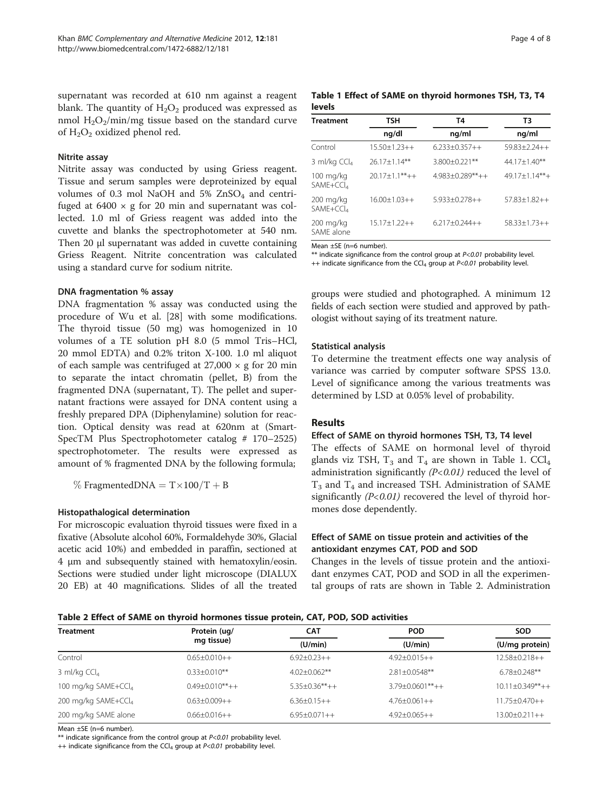supernatant was recorded at 610 nm against a reagent blank. The quantity of  $H_2O_2$  produced was expressed as nmol  $H_2O_2/m$ in/mg tissue based on the standard curve of  $H_2O_2$  oxidized phenol red.

#### Nitrite assay

Nitrite assay was conducted by using Griess reagent. Tissue and serum samples were deproteinized by equal volumes of 0.3 mol NaOH and  $5\%$  ZnSO<sub>4</sub> and centrifuged at  $6400 \times g$  for 20 min and supernatant was collected. 1.0 ml of Griess reagent was added into the cuvette and blanks the spectrophotometer at 540 nm. Then 20 μl supernatant was added in cuvette containing Griess Reagent. Nitrite concentration was calculated using a standard curve for sodium nitrite.

#### DNA fragmentation % assay

DNA fragmentation % assay was conducted using the procedure of Wu et al. [[28\]](#page-7-0) with some modifications. The thyroid tissue (50 mg) was homogenized in 10 volumes of a TE solution pH 8.0 (5 mmol Tris–HCl, 20 mmol EDTA) and 0.2% triton X-100. 1.0 ml aliquot of each sample was centrifuged at  $27,000 \times g$  for 20 min to separate the intact chromatin (pellet, B) from the fragmented DNA (supernatant, T). The pellet and supernatant fractions were assayed for DNA content using a freshly prepared DPA (Diphenylamine) solution for reaction. Optical density was read at 620nm at (Smart-SpecTM Plus Spectrophotometer catalog # 170–2525) spectrophotometer. The results were expressed as amount of % fragmented DNA by the following formula;

 $\%$  FragmentedDNA = T $\times$ 100/T + B

#### Histopathalogical determination

For microscopic evaluation thyroid tissues were fixed in a fixative (Absolute alcohol 60%, Formaldehyde 30%, Glacial acetic acid 10%) and embedded in paraffin, sectioned at 4 μm and subsequently stained with hematoxylin/eosin. Sections were studied under light microscope (DIALUX 20 EB) at 40 magnifications. Slides of all the treated

|        |  |  | Table 1 Effect of SAME on thyroid hormones TSH, T3, T4 |  |  |
|--------|--|--|--------------------------------------------------------|--|--|
| levels |  |  |                                                        |  |  |

| <b>Treatment</b>                     | TSH                | T4                  | T3                 |  |
|--------------------------------------|--------------------|---------------------|--------------------|--|
|                                      | ng/dl              | ng/ml               | ng/ml              |  |
| Control                              | $15.50 + 1.23 + +$ | $6.233 + 0.357 + +$ | $59.83 + 2.24 + +$ |  |
| 3 ml/kg $CCl4$                       | $26.17 + 1.14***$  | 3.800±0.221**       | $44.17 + 1.40***$  |  |
| 100 mg/kg<br>SAME+CCL4               | $20.17 + 1.1***++$ | $4.983+0.289**++$   | $49.17 + 1.14***$  |  |
| $200$ mg/kg<br>SAME+CCl <sub>4</sub> | $16.00 + 1.03 + +$ | $5.933+0.278++$     | $57.83 + 1.82 + +$ |  |
| $200 \text{ mg/kg}$<br>SAME alone    | $15.17 + 1.22 + +$ | $6.217 + 0.244 + +$ | $58.33+1.73++$     |  |

Mean ±SE (n=6 number).

\*\* indicate significance from the control group at  $P < 0.01$  probability level. ++ indicate significance from the CCl<sub>4</sub> group at  $P < 0.01$  probability level.

groups were studied and photographed. A minimum 12 fields of each section were studied and approved by pathologist without saying of its treatment nature.

#### Statistical analysis

To determine the treatment effects one way analysis of variance was carried by computer software SPSS 13.0. Level of significance among the various treatments was determined by LSD at 0.05% level of probability.

#### **Results**

#### Effect of SAME on thyroid hormones TSH, T3, T4 level

The effects of SAME on hormonal level of thyroid glands viz TSH,  $T_3$  and  $T_4$  are shown in Table 1. CCl<sub>4</sub> administration significantly  $(P<0.01)$  reduced the level of  $T_3$  and  $T_4$  and increased TSH. Administration of SAME significantly  $(P<0.01)$  recovered the level of thyroid hormones dose dependently.

#### Effect of SAME on tissue protein and activities of the antioxidant enzymes CAT, POD and SOD

Changes in the levels of tissue protein and the antioxidant enzymes CAT, POD and SOD in all the experimental groups of rats are shown in Table 2. Administration

| <b>Treatment</b>                | Protein (ug/       | <b>CAT</b>           | <b>POD</b>          | <b>SOD</b>            |
|---------------------------------|--------------------|----------------------|---------------------|-----------------------|
|                                 | mg tissue)         | (U/min)              | (U/min)             | (U/mg protein)        |
| Control                         | $0.65 + 0.010 + +$ | $6.92+0.23++$        | $4.92+0.015++$      | $12.58 + 0.218 + +$   |
| 3 ml/kg $CCl4$                  | $0.33 + 0.010**$   | $4.02 + 0.062$ **    | $2.81 + 0.0548**$   | $6.78 + 0.248**$      |
| 100 mg/kg SAME+CCl <sub>4</sub> | $0.49 + 0.010**++$ | $5.35 + 0.36** + +$  | $3.79 + 0.0601**++$ | $10.11 \pm 0.349**++$ |
| 200 mg/kg SAME+CCl <sub>4</sub> | $0.63 + 0.009 + +$ | $6.36 + 0.15 + +$    | $4.76 + 0.061 + +$  | $11.75 + 0.470 + +$   |
| 200 mg/kg SAME alone            | $0.66 + 0.016 + +$ | $6.95 \pm 0.071 + +$ | $4.92+0.065++$      | $13.00+0.211++$       |

Mean ±SE (n=6 number).

\*\* indicate significance from the control group at  $P < 0.01$  probability level.

++ indicate significance from the CCl<sub>4</sub> group at  $P<0.01$  probability level.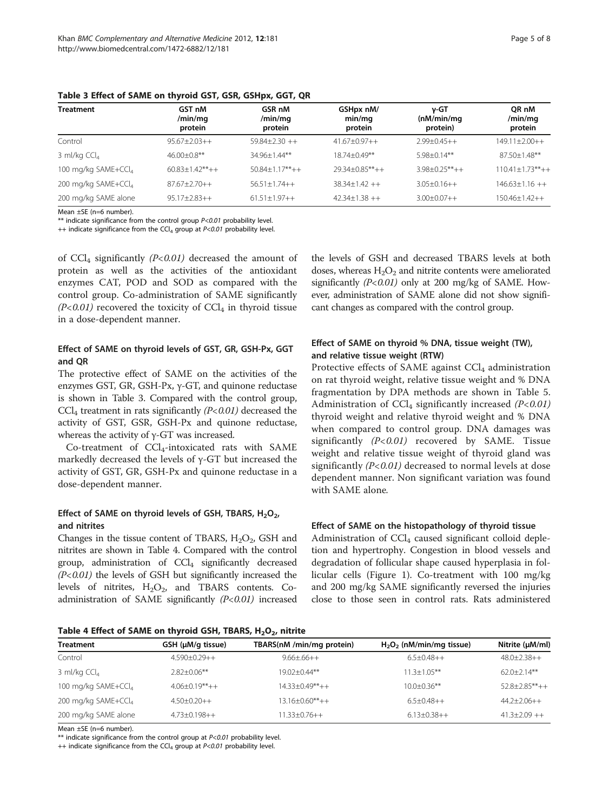| <b>Treatment</b>                | GST nM<br>/min/mg<br>protein | GSR nM<br>/min/mg<br>protein | GSHpx nM/<br>min/mq<br>protein | v-GT<br>(nM/min/mq)<br>protein) | OR nM<br>/min/mg<br>protein |
|---------------------------------|------------------------------|------------------------------|--------------------------------|---------------------------------|-----------------------------|
| Control                         | $95.67 + 2.03 + +$           | $59.84 + 2.30 + +$           | $41.67 + 0.97 + +$             | $2.99 + 0.45 + +$               | $149.11 + 2.00 + +$         |
| 3 ml/kg $CCl4$                  | $46.00 + 0.8$ **             | $34.96 + 1.44$ **            | 18.74+0.49**                   | $5.98 + 0.14$ **                | $87.50 + 1.48$ **           |
| 100 mg/kg SAME+CCl <sub>4</sub> | $60.83 + 1.42**++$           | $50.84 + 1.17** + +$         | $29.34 + 0.85***++$            | $3.98 + 0.25***++$              | $110.41 + 1.73***++$        |
| 200 mg/kg SAME+CCl4             | $87.67 + 2.70 + +$           | $56.51+1.74++$               | $38.34 + 1.42 + +$             | $3.05 + 0.16 + +$               | $146.63 + 1.16 + +$         |
| 200 mg/kg SAME alone            | $95.17 + 2.83 + +$           | $61.51 + 1.97 + +$           | $42.34 + 1.38 + +$             | $3.00+0.07++$                   | $150.46 + 1.42 + +$         |

Table 3 Effect of SAME on thyroid GST, GSR, GSHpx, GGT, QR

Mean ±SE (n=6 number).

\*\* indicate significance from the control group P<0.01 probability level.

++ indicate significance from the CCl<sub>4</sub> group at  $P<0.01$  probability level.

of  $CCl<sub>4</sub>$  significantly (P<0.01) decreased the amount of protein as well as the activities of the antioxidant enzymes CAT, POD and SOD as compared with the control group. Co-administration of SAME significantly  $(P<0.01)$  recovered the toxicity of CCl<sub>4</sub> in thyroid tissue in a dose-dependent manner.

#### Effect of SAME on thyroid levels of GST, GR, GSH-Px, GGT and QR

The protective effect of SAME on the activities of the enzymes GST, GR, GSH-Px, γ-GT, and quinone reductase is shown in Table 3. Compared with the control group,  $CCl<sub>4</sub>$  treatment in rats significantly ( $P<sub>0.01</sub>$ ) decreased the activity of GST, GSR, GSH-Px and quinone reductase, whereas the activity of γ-GT was increased.

Co-treatment of CCl4-intoxicated rats with SAME markedly decreased the levels of γ-GT but increased the activity of GST, GR, GSH-Px and quinone reductase in a dose-dependent manner.

#### Effect of SAME on thyroid levels of GSH, TBARS,  $H_2O_2$ , and nitrites

Changes in the tissue content of TBARS,  $H_2O_2$ , GSH and nitrites are shown in Table 4. Compared with the control group, administration of CCl4 significantly decreased  $(P<0.01)$  the levels of GSH but significantly increased the levels of nitrites,  $H_2O_2$ , and TBARS contents. Coadministration of SAME significantly  $(P<0.01)$  increased the levels of GSH and decreased TBARS levels at both doses, whereas  $H_2O_2$  and nitrite contents were ameliorated significantly  $(P<0.01)$  only at 200 mg/kg of SAME. However, administration of SAME alone did not show significant changes as compared with the control group.

# Effect of SAME on thyroid % DNA, tissue weight (TW), and relative tissue weight (RTW)

Protective effects of SAME against  $CCl<sub>4</sub>$  administration on rat thyroid weight, relative tissue weight and % DNA fragmentation by DPA methods are shown in Table [5](#page-5-0). Administration of  $\text{CCl}_4$  significantly increased (P<0.01) thyroid weight and relative thyroid weight and % DNA when compared to control group. DNA damages was significantly  $(P<0.01)$  recovered by SAME. Tissue weight and relative tissue weight of thyroid gland was significantly  $(P< 0.01)$  decreased to normal levels at dose dependent manner. Non significant variation was found with SAME alone.

#### Effect of SAME on the histopathology of thyroid tissue

Administration of  $\text{CCl}_4$  caused significant colloid depletion and hypertrophy. Congestion in blood vessels and degradation of follicular shape caused hyperplasia in follicular cells (Figure [1\)](#page-5-0). Co-treatment with 100 mg/kg and 200 mg/kg SAME significantly reversed the injuries close to those seen in control rats. Rats administered

Table 4 Effect of SAME on thyroid GSH, TBARS,  $H_2O_2$ , nitrite

| <b>Treatment</b>                | GSH (µM/g tissue)   | TBARS(nM /min/mg protein) | $H_2O_2$ (nM/min/mg tissue) | Nitrite (µM/ml)    |
|---------------------------------|---------------------|---------------------------|-----------------------------|--------------------|
| Control                         | $4.590\pm0.29++$    | $9.66 + .66 + +$          | $6.5+0.48++$                | $48.0+2.38++$      |
| 3 ml/kg $CCl4$                  | $2.82 + 0.06**$     | $19.02 + 0.44**$          | $11.3 + 1.05$ **            | $62.0 + 2.14**$    |
| 100 mg/kg SAME+CCl <sub>4</sub> | $4.06 + 0.19** + +$ | $14.33 + 0.49** + +$      | $10.0 + 0.36$ **            | $52.8 + 2.85***++$ |
| 200 mg/kg SAME+CCl <sub>4</sub> | $4.50+0.20++$       | $13.16 + 0.60***++$       | $6.5+0.48++$                | $44.2 + 2.06 + +$  |
| 200 mg/kg SAME alone            | $4.73 + 0.198 + +$  | $11.33 + 0.76 + +$        | $6.13+0.38++$               | $41.3+2.09++$      |

Mean ±SE (n=6 number).

\*\* indicate significance from the control group at  $P < 0.01$  probability level.

++ indicate significance from the CCl<sub>4</sub> group at  $P<0.01$  probability level.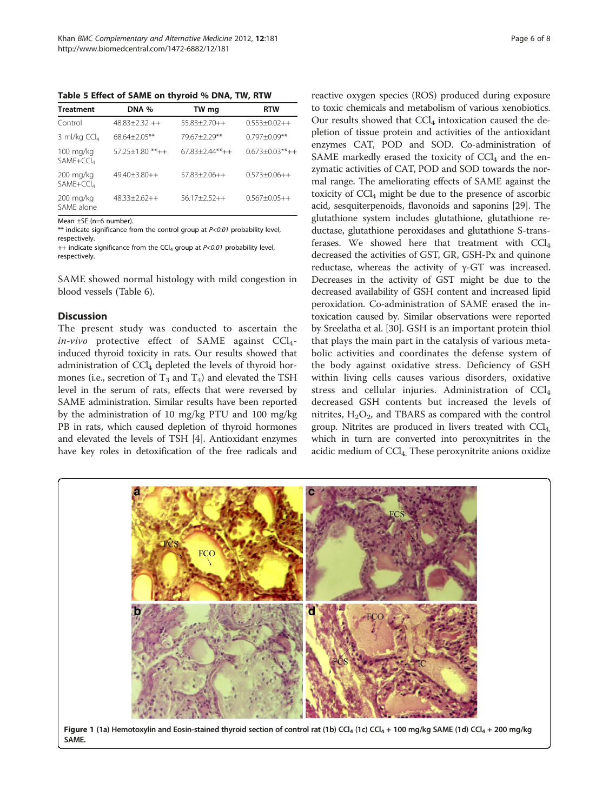<span id="page-5-0"></span>Table 5 Effect of SAME on thyroid % DNA, TW, RTW

| Treatment                          | DNA %               | TW mg               | <b>RTW</b>           |
|------------------------------------|---------------------|---------------------|----------------------|
| Control                            | $48.83+2.32++$      | $55.83 + 2.70 + +$  | $0.553 + 0.02 + +$   |
| 3 ml/kg $CCl4$                     | 68.64±2.05**        | 79.67+2.29**        | $0.797 \pm 0.09$ **  |
| 100 mg/kg<br>SAME+CCl <sub>4</sub> | $57.25 + 1.80$ **++ | $67.83 + 2.44***++$ | $0.673 + 0.03** + +$ |
| 200 mg/kg<br>SAME+CCl <sub>4</sub> | $49.40 + 3.80 + +$  | $57.83 + 2.06 + +$  | $0.573 + 0.06 + +$   |
| 200 mg/kg<br>SAME alone            | $48.33+2.62++$      | $56.17 + 2.52 + +$  | $0.567 + 0.05 + +$   |

Mean ±SE (n=6 number).

\*\* indicate significance from the control group at  $P < 0.01$  probability level, respectively.

++ indicate significance from the CCl<sub>4</sub> group at  $P<0.01$  probability level, respectively.

SAME showed normal histology with mild congestion in blood vessels (Table [6](#page-6-0)).

#### **Discussion**

The present study was conducted to ascertain the in-vivo protective effect of SAME against  $CCl<sub>4</sub>$ induced thyroid toxicity in rats. Our results showed that administration of  $CCl_4$  depleted the levels of thyroid hormones (i.e., secretion of  $T_3$  and  $T_4$ ) and elevated the TSH level in the serum of rats, effects that were reversed by SAME administration. Similar results have been reported by the administration of 10 mg/kg PTU and 100 mg/kg PB in rats, which caused depletion of thyroid hormones and elevated the levels of TSH [[4\]](#page-6-0). Antioxidant enzymes have key roles in detoxification of the free radicals and

reactive oxygen species (ROS) produced during exposure to toxic chemicals and metabolism of various xenobiotics. Our results showed that  $CCl<sub>4</sub>$  intoxication caused the depletion of tissue protein and activities of the antioxidant enzymes CAT, POD and SOD. Co-administration of SAME markedly erased the toxicity of  $CCl<sub>4</sub>$  and the enzymatic activities of CAT, POD and SOD towards the normal range. The ameliorating effects of SAME against the toxicity of  $\text{CCl}_4$  might be due to the presence of ascorbic acid, sesquiterpenoids, flavonoids and saponins [\[29\]](#page-7-0). The glutathione system includes glutathione, glutathione reductase, glutathione peroxidases and glutathione S-transferases. We showed here that treatment with  $CCl<sub>4</sub>$ decreased the activities of GST, GR, GSH-Px and quinone reductase, whereas the activity of γ-GT was increased. Decreases in the activity of GST might be due to the decreased availability of GSH content and increased lipid peroxidation. Co-administration of SAME erased the intoxication caused by. Similar observations were reported by Sreelatha et al. [\[30\]](#page-7-0). GSH is an important protein thiol that plays the main part in the catalysis of various metabolic activities and coordinates the defense system of the body against oxidative stress. Deficiency of GSH within living cells causes various disorders, oxidative stress and cellular injuries. Administration of  $CCl<sub>4</sub>$ decreased GSH contents but increased the levels of nitrites,  $H_2O_2$ , and TBARS as compared with the control group. Nitrites are produced in livers treated with  $\text{CCI}_4$ , which in turn are converted into peroxynitrites in the acidic medium of  $\text{CCl}_4$ . These peroxynitrite anions oxidize

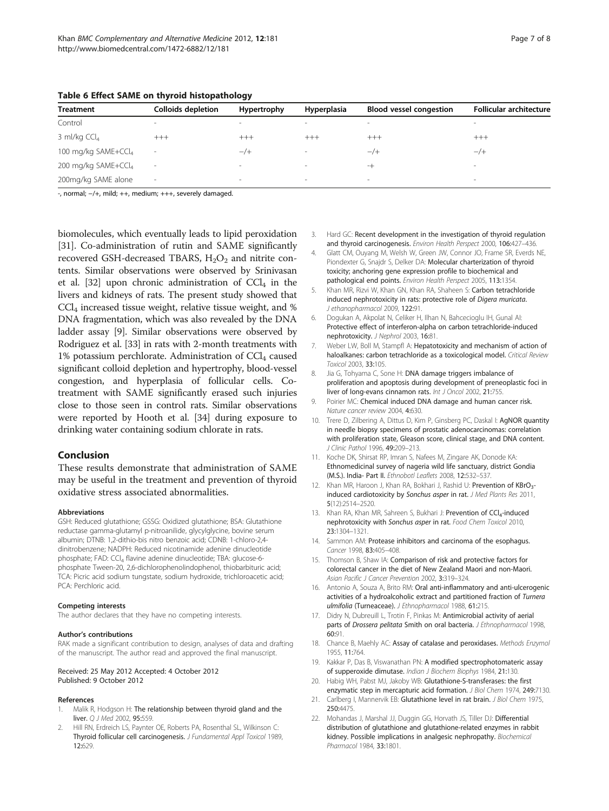| <b>Treatment</b>                | <b>Colloids depletion</b> | Hypertrophy | Hyperplasia              | <b>Blood vessel congestion</b> | <b>Follicular architecture</b> |
|---------------------------------|---------------------------|-------------|--------------------------|--------------------------------|--------------------------------|
| Control                         | $\sim$                    | $\sim$      | $\hspace{0.1mm}$         | $\sim$                         | $\sim$                         |
| 3 ml/kg $CCl4$                  | $+++$                     | $+++$       | $+++$                    | $+++$                          | $+++$                          |
| 100 mg/kg SAME+CCl <sub>4</sub> |                           | $-$ /+      | $\overline{\phantom{a}}$ | $-$ /+                         | $-$ /+                         |
| 200 mg/kg SAME+CCl <sub>4</sub> | $\overline{\phantom{a}}$  | $\sim$      | $\sim$                   | $-+$                           | $\sim$                         |
| 200mg/kg SAME alone             | $\sim$                    | $\sim$      | $\overline{\phantom{a}}$ | $\overline{\phantom{a}}$       | $\,$                           |

<span id="page-6-0"></span>Table 6 Effect SAME on thyroid histopathology

-, normal; −/+, mild; ++, medium; +++, severely damaged.

biomolecules, which eventually leads to lipid peroxidation [[31](#page-7-0)]. Co-administration of rutin and SAME significantly recovered GSH-decreased TBARS,  $H_2O_2$  and nitrite contents. Similar observations were observed by Srinivasan et al. [\[32\]](#page-7-0) upon chronic administration of  $\text{CCL}_4$  in the livers and kidneys of rats. The present study showed that CCl4 increased tissue weight, relative tissue weight, and % DNA fragmentation, which was also revealed by the DNA ladder assay [9]. Similar observations were observed by Rodriguez et al. [\[33\]](#page-7-0) in rats with 2-month treatments with 1% potassium perchlorate. Administration of  $\text{CCI}_4$  caused significant colloid depletion and hypertrophy, blood-vessel congestion, and hyperplasia of follicular cells. Cotreatment with SAME significantly erased such injuries close to those seen in control rats. Similar observations were reported by Hooth et al. [\[34\]](#page-7-0) during exposure to drinking water containing sodium chlorate in rats.

#### Conclusion

These results demonstrate that administration of SAME may be useful in the treatment and prevention of thyroid oxidative stress associated abnormalities.

#### Abbreviations

GSH: Reduced glutathione; GSSG: Oxidized glutathione; BSA: Glutathione reductase gamma-glutamyl p-nitroanilide, glycylglycine, bovine serum albumin; DTNB: 1,2-dithio-bis nitro benzoic acid; CDNB: 1-chloro-2,4 dinitrobenzene; NADPH: Reduced nicotinamide adenine dinucleotide phosphate; FAD: CCl<sub>4</sub> flavine adenine dinucleotide; TBA: glucose-6phosphate Tween-20, 2,6-dichlorophenolindophenol, thiobarbituric acid; TCA: Picric acid sodium tungstate, sodium hydroxide, trichloroacetic acid; PCA: Perchloric acid.

#### Competing interests

The author declares that they have no competing interests.

#### Author's contributions

RAK made a significant contribution to design, analyses of data and drafting of the manuscript. The author read and approved the final manuscript.

#### Received: 25 May 2012 Accepted: 4 October 2012 Published: 9 October 2012

#### References

- Malik R, Hodgson H: The relationship between thyroid gland and the liver. Q J Med 2002, 95:559.
- Hill RN, Erdreich LS, Paynter OE, Roberts PA, Rosenthal SL, Wilkinson C: Thyroid follicular cell carcinogenesis. J Fundamental Appl Toxicol 1989, 12:629.
- 3. Hard GC: Recent development in the investigation of thyroid regulation and thyroid carcinogenesis. Environ Health Perspect 2000, 106:427–436.
- 4. Glatt CM, Ouyang M, Welsh W, Green JW, Connor JO, Frame SR, Everds NE, Piondexter G, Snajdr S, Delker DA: Molecular charterization of thyroid toxicity; anchoring gene expression profile to biochemical and pathological end points. Environ Health Perspect 2005, 113:1354.
- 5. Khan MR, Rizvi W, Khan GN, Khan RA, Shaheen S: Carbon tetrachloride induced nephrotoxicity in rats: protective role of Digera muricata. J ethanopharmacol 2009, 122:91.
- 6. Dogukan A, Akpolat N, Celiker H, Ilhan N, Bahcecioglu IH, Gunal AI: Protective effect of interferon-alpha on carbon tetrachloride-induced nephrotoxicity. J Nephrol 2003, 16:81.
- 7. Weber LW, Boll M, Stampfl A: Hepatotoxicity and mechanism of action of haloalkanes: carbon tetrachloride as a toxicological model. Critical Review Toxicol 2003, 33:105.
- 8. Jia G, Tohyama C, Sone H: DNA damage triggers imbalance of proliferation and apoptosis during development of preneoplastic foci in liver of long-evans cinnamon rats. Int J Oncol 2002, 21:755.
- 9. Poirier MC: Chemical induced DNA damage and human cancer risk. Nature cancer review 2004, 4:630.
- 10. Trere D, Zilbering A, Dittus D, Kim P, Ginsberg PC, Daskal I: AgNOR quantity in needle biopsy specimens of prostatic adenocarcinomas: correlation with proliferation state, Gleason score, clinical stage, and DNA content. J Clinic Pathol 1996, 49:209–213.
- 11. Koche DK, Shirsat RP, Imran S, Nafees M, Zingare AK, Donode KA: Ethnomedicinal survey of nageria wild life sanctuary, district Gondia (M.S.). India- Part II. Ethnobotl Leaflets 2008, 12:532–537.
- 12. Khan MR, Haroon J, Khan RA, Bokhari J, Rashid U: Prevention of KBrO<sub>3</sub>induced cardiotoxicity by Sonchus asper in rat. J Med Plants Res 2011, 5(12):2514–2520.
- 13. Khan RA, Khan MR, Sahreen S, Bukhari J: Prevention of CCl<sub>4</sub>-induced nephrotoxicity with Sonchus asper in rat. Food Chem Toxicol 2010, 23:1304–1321.
- 14. Sammon AM: Protease inhibitors and carcinoma of the esophagus. Cancer 1998, 83:405–408.
- 15. Thomson B, Shaw IA: Comparison of risk and protective factors for colorectal cancer in the diet of New Zealand Maori and non-Maori. Asian Pacific J Cancer Prevention 2002, 3:319-324.
- 16. Antonio A, Souza A, Brito RM: Oral anti-inflammatory and anti-ulcerogenic activities of a hydroalcoholic extract and partitioned fraction of Turnera ulmifolia (Turneaceae). J Ethnopharmacol 1988, 61:215.
- 17. Didry N, Dubreuill L, Trotin F, Pinkas M: Antimicrobial activity of aerial parts of Drossera pelitata Smith on oral bacteria. J Ethnopharmacol 1998, 60:91.
- 18. Chance B, Maehly AC: Assay of catalase and peroxidases. Methods Enzymol 1955, 11:764.
- 19. Kakkar P, Das B, Viswanathan PN: A modified spectrophotomateric assay of supperoxide dimutase. Indian J Biochem Biophys 1984, 21:130.
- 20. Habig WH, Pabst MJ, Jakoby WB: Glutathione-S-transferases: the first enzymatic step in mercapturic acid formation. J Biol Chem 1974, 249:7130.
- 21. Carlberg I, Mannervik EB: Glutathione level in rat brain. J Biol Chem 1975, 250:4475.
- 22. Mohandas J, Marshal JJ, Duggin GG, Horvath JS, Tiller DJ: Differential distribution of glutathione and glutathione-related enzymes in rabbit kidney. Possible implications in analgesic nephropathy. Biochemical Pharmacol 1984, 33:1801.